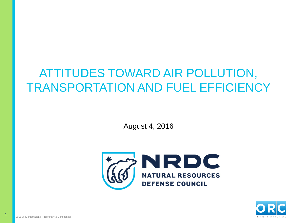# ATTITUDES TOWARD AIR POLLUTION, TRANSPORTATION AND FUEL EFFICIENCY

August 4, 2016



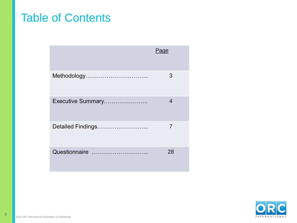## Table of Contents

|                   | Page           |
|-------------------|----------------|
|                   | 3              |
| Executive Summary | 4              |
| Detailed Findings | $\overline{7}$ |
| Questionnaire     | 28             |

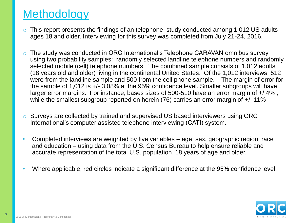# **Methodology**

- This report presents the findings of an telephone study conducted among 1,012 US adults ages 18 and older. Interviewing for this survey was completed from July 21-24, 2016.
- The study was conducted in ORC International's Telephone CARAVAN omnibus survey using two probability samples: randomly selected landline telephone numbers and randomly selected mobile (cell) telephone numbers. The combined sample consists of 1,012 adults (18 years old and older) living in the continental United States. Of the 1,012 interviews, 512 were from the landline sample and 500 from the cell phone sample. The margin of error for the sample of 1,012 is +/- 3.08% at the 95% confidence level. Smaller subgroups will have larger error margins. For instance, bases sizes of 500-510 have an error margin of +/ 4% , while the smallest subgroup reported on herein (76) carries an error margin of  $+/-11\%$
- o Surveys are collected by trained and supervised US based interviewers using ORC International's computer assisted telephone interviewing (CATI) system.
- Completed interviews are weighted by five variables age, sex, geographic region, race and education – using data from the U.S. Census Bureau to help ensure reliable and accurate representation of the total U.S. population, 18 years of age and older.
- Where applicable, red circles indicate a significant difference at the 95% confidence level.

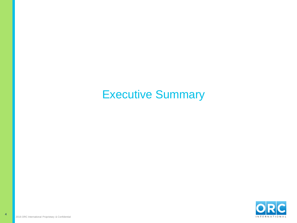## Executive Summary

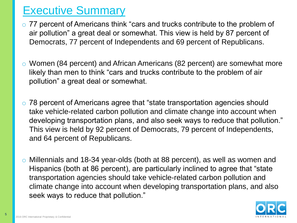## Executive Summary

- o 77 percent of Americans think "cars and trucks contribute to the problem of air pollution" a great deal or somewhat. This view is held by 87 percent of Democrats, 77 percent of Independents and 69 percent of Republicans.
- o Women (84 percent) and African Americans (82 percent) are somewhat more likely than men to think "cars and trucks contribute to the problem of air pollution" a great deal or somewhat.
- o 78 percent of Americans agree that "state transportation agencies should take vehicle-related carbon pollution and climate change into account when developing transportation plans, and also seek ways to reduce that pollution." This view is held by 92 percent of Democrats, 79 percent of Independents, and 64 percent of Republicans.
- o Millennials and 18-34 year-olds (both at 88 percent), as well as women and Hispanics (both at 86 percent), are particularly inclined to agree that "state transportation agencies should take vehicle-related carbon pollution and climate change into account when developing transportation plans, and also seek ways to reduce that pollution."

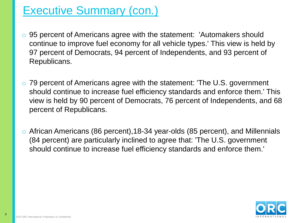# Executive Summary (con.)

- o 95 percent of Americans agree with the statement: 'Automakers should continue to improve fuel economy for all vehicle types.' This view is held by 97 percent of Democrats, 94 percent of Independents, and 93 percent of Republicans.
- o 79 percent of Americans agree with the statement: 'The U.S. government should continue to increase fuel efficiency standards and enforce them.' This view is held by 90 percent of Democrats, 76 percent of Independents, and 68 percent of Republicans.
- o African Americans (86 percent),18-34 year-olds (85 percent), and Millennials (84 percent) are particularly inclined to agree that: 'The U.S. government should continue to increase fuel efficiency standards and enforce them.'

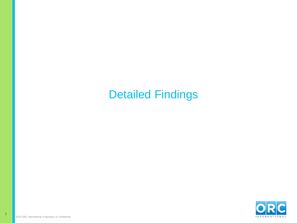# Detailed Findings

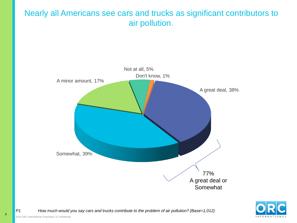#### Nearly all Americans see cars and trucks as significant contributors to air pollution.





*P1 How much would you say cars and trucks contribute to the problem of air pollution? (Base=1,012)*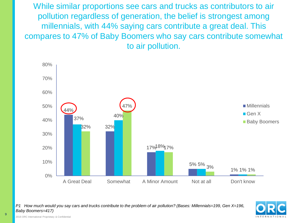While similar proportions see cars and trucks as contributors to air pollution regardless of generation, the belief is strongest among millennials, with 44% saying cars contribute a great deal. This compares to 47% of Baby Boomers who say cars contribute somewhat to air pollution.



*P1 How much would you say cars and trucks contribute to the problem of air pollution? (Bases: Millennials=199, Gen X=196, Baby Boomers=417)*

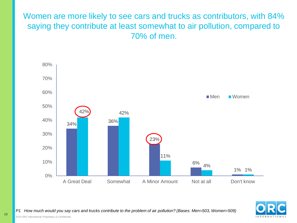### Women are more likely to see cars and trucks as contributors, with 84% saying they contribute at least somewhat to air pollution, compared to 70% of men.





*P1 How much would you say cars and trucks contribute to the problem of air pollution? (Bases: Men=503, Women=509)*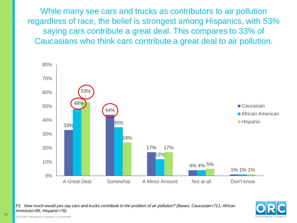While many see cars and trucks as contributors to air pollution regardless of race, the belief is strongest among Hispanics, with 53% saying cars contribute a great deal. This compares to 33% of Caucasians who think cars contribute a great deal to air pollution.



*P1 How much would you say cars and trucks contribute to the problem of air pollution? (Bases: Caucasian=711, African American=89, Hispanic=76)*

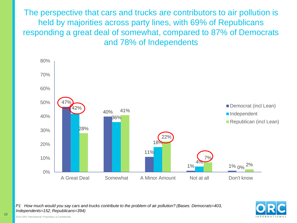The perspective that cars and trucks are contributors to air pollution is held by majorities across party lines, with 69% of Republicans responding a great deal of somewhat, compared to 87% of Democrats and 78% of Independents



*P1 How much would you say cars and trucks contribute to the problem of air pollution? (Bases: Democrats=403, Independents=152, Republicans=394)*

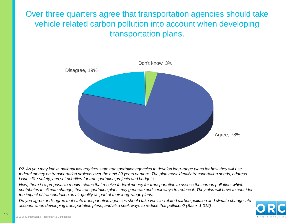Over three quarters agree that transportation agencies should take vehicle related carbon pollution into account when developing transportation plans.



*P2 As you may know, national law requires state transportation agencies to develop long-range plans for how they will use federal money on transportation projects over the next 20 years or more. The plan must identify transportation needs, address issues like safety, and set priorities for transportation projects and budgets.*

*Now, there is a proposal to require states that receive federal money for transportation to assess the carbon pollution, which contributes to climate change, that transportation plans may generate and seek ways to reduce it. They also will have to consider the impact of transportation on air quality as part of their long-range plans.*

*Do you agree or disagree that state transportation agencies should take vehicle-related carbon pollution and climate change into account when developing transportation plans, and also seek ways to reduce that pollution? (Base=1,012)*

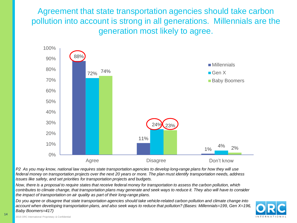Agreement that state transportation agencies should take carbon pollution into account is strong in all generations. Millennials are the generation most likely to agree.



*P2 As you may know, national law requires state transportation agencies to develop long-range plans for how they will use federal money on transportation projects over the next 20 years or more. The plan must identify transportation needs, address issues like safety, and set priorities for transportation projects and budgets.*

*Now, there is a proposal to require states that receive federal money for transportation to assess the carbon pollution, which contributes to climate change, that transportation plans may generate and seek ways to reduce it. They also will have to consider the impact of transportation on air quality as part of their long-range plans.*

*Do you agree or disagree that state transportation agencies should take vehicle-related carbon pollution and climate change into account when developing transportation plans, and also seek ways to reduce that pollution? (Bases: Millennials=199, Gen X=196, Baby Boomers=417)*

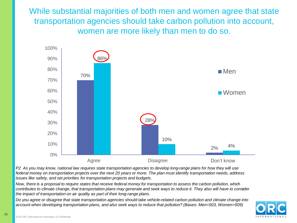While substantial majorities of both men and women agree that state transportation agencies should take carbon pollution into account, women are more likely than men to do so.



*P2 As you may know, national law requires state transportation agencies to develop long-range plans for how they will use federal money on transportation projects over the next 20 years or more. The plan must identify transportation needs, address issues like safety, and set priorities for transportation projects and budgets.*

*Now, there is a proposal to require states that receive federal money for transportation to assess the carbon pollution, which contributes to climate change, that transportation plans may generate and seek ways to reduce it. They also will have to consider the impact of transportation on air quality as part of their long-range plans.*

*Do you agree or disagree that state transportation agencies should take vehicle-related carbon pollution and climate change into account when developing transportation plans, and also seek ways to reduce that pollution? (Bases: Men=503, Women=509)*

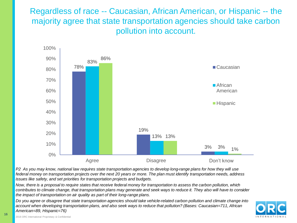Regardless of race -- Caucasian, African American, or Hispanic -- the majority agree that state transportation agencies should take carbon pollution into account.



*P2 As you may know, national law requires state transportation agencies to develop long-range plans for how they will use federal money on transportation projects over the next 20 years or more. The plan must identify transportation needs, address issues like safety, and set priorities for transportation projects and budgets.*

*Now, there is a proposal to require states that receive federal money for transportation to assess the carbon pollution, which contributes to climate change, that transportation plans may generate and seek ways to reduce it. They also will have to consider the impact of transportation on air quality as part of their long-range plans.*

*Do you agree or disagree that state transportation agencies should take vehicle-related carbon pollution and climate change into account when developing transportation plans, and also seek ways to reduce that pollution? (Bases: Caucasian=711, African American=89, Hispanic=76)*

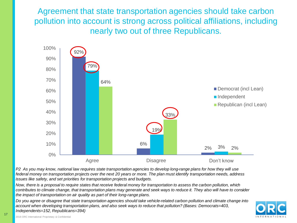Agreement that state transportation agencies should take carbon pollution into account is strong across political affiliations, including nearly two out of three Republicans.



*P2 As you may know, national law requires state transportation agencies to develop long-range plans for how they will use federal money on transportation projects over the next 20 years or more. The plan must identify transportation needs, address issues like safety, and set priorities for transportation projects and budgets.*

*Now, there is a proposal to require states that receive federal money for transportation to assess the carbon pollution, which contributes to climate change, that transportation plans may generate and seek ways to reduce it. They also will have to consider the impact of transportation on air quality as part of their long-range plans.*

*Do you agree or disagree that state transportation agencies should take vehicle-related carbon pollution and climate change into account when developing transportation plans, and also seek ways to reduce that pollution? (Bases: Democrats=403, Independents=152, Republicans=394)*

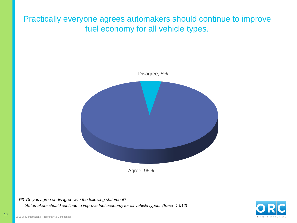### Practically everyone agrees automakers should continue to improve fuel economy for all vehicle types.



Agree, 95%

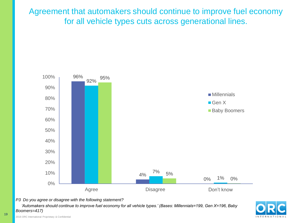Agreement that automakers should continue to improve fuel economy for all vehicle types cuts across generational lines.



*P3 Do you agree or disagree with the following statement?*

*'Automakers should continue to improve fuel economy for all vehicle types.' (Bases: Millennials=199, Gen X=196, Baby Boomers=417)*

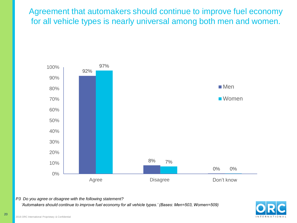Agreement that automakers should continue to improve fuel economy for all vehicle types is nearly universal among both men and women.



#### *P3 Do you agree or disagree with the following statement?*

*'Automakers should continue to improve fuel economy for all vehicle types.' (Bases: Men=503, Women=509)*

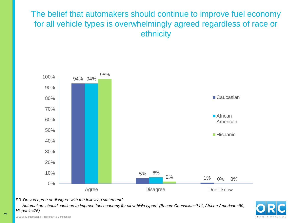### The belief that automakers should continue to improve fuel economy for all vehicle types is overwhelmingly agreed regardless of race or ethnicity



*P3 Do you agree or disagree with the following statement?*

*'Automakers should continue to improve fuel economy for all vehicle types.' (Bases: Caucasian=711, African American=89, Hispanic=76)*

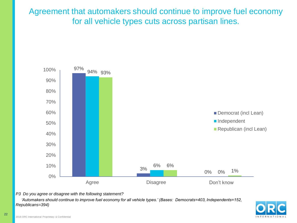Agreement that automakers should continue to improve fuel economy for all vehicle types cuts across partisan lines.



*P3 Do you agree or disagree with the following statement?*

*'Automakers should continue to improve fuel economy for all vehicle types.' (Bases: Democrats=403, Independents=152, Republicans=394)*

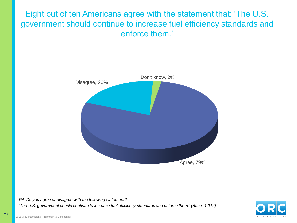Eight out of ten Americans agree with the statement that: 'The U.S. government should continue to increase fuel efficiency standards and enforce them.'



*P4 Do you agree or disagree with the following statement? 'The U.S. government should continue to increase fuel efficiency standards and enforce them.' (Base=1,012)*

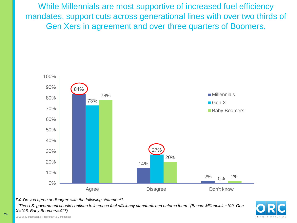While Millennials are most supportive of increased fuel efficiency mandates, support cuts across generational lines with over two thirds of Gen Xers in agreement and over three quarters of Boomers.



*P4 Do you agree or disagree with the following statement?*

*'The U.S. government should continue to increase fuel efficiency standards and enforce them.' (Bases: Millennials=199, Gen X=196, Baby Boomers=417)*

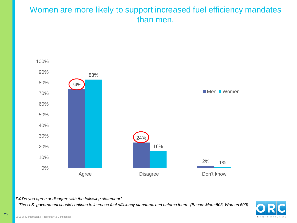### Women are more likely to support increased fuel efficiency mandates than men.



#### *P4 Do you agree or disagree with the following statement?*

*'The U.S. government should continue to increase fuel efficiency standards and enforce them.' (Bases: Men=503, Women 509)*

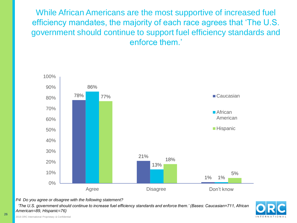While African Americans are the most supportive of increased fuel efficiency mandates, the majority of each race agrees that 'The U.S. government should continue to support fuel efficiency standards and enforce them.'



*P4 Do you agree or disagree with the following statement?*

*'The U.S. government should continue to increase fuel efficiency standards and enforce them.' (Bases: Caucasian=711, African American=89, Hispanic=76)*

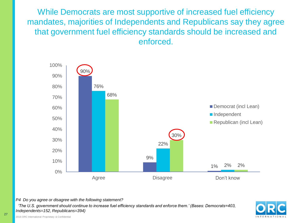While Democrats are most supportive of increased fuel efficiency mandates, majorities of Independents and Republicans say they agree that government fuel efficiency standards should be increased and enforced.



#### *P4 Do you agree or disagree with the following statement?*

*'The U.S. government should continue to increase fuel efficiency standards and enforce them.' (Bases: Democrats=403, Independents=152, Republicans=394)*

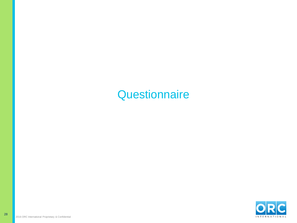## **Questionnaire**

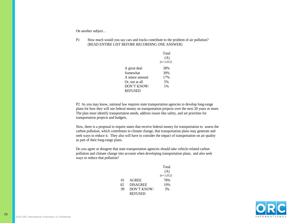On another subject…

| P1 | How much would you say cars and trucks contribute to the problem of air pollution? |
|----|------------------------------------------------------------------------------------|
|    | (READ ENTIRE LIST BEFORE RECORDING ONE ANSWER)                                     |

|                | Total<br>(A)<br>$(n=1,012)$ |
|----------------|-----------------------------|
| A great deal   | 38%                         |
| Somewhat       | 39%                         |
| A minor amount | 17%                         |
| Or, not at all | 5%                          |
| DON'T KNOW/    | 1%                          |
| REFUSED        |                             |

P2 As you may know, national law requires state transportation agencies to develop long-range plans for how they will use federal money on transportation projects over the next 20 years or more. The plan must identify transportation needs, address issues like safety, and set priorities for transportation projects and budgets.

Now, there is a proposal to require states that receive federal money for transportation to assess the carbon pollution, which contributes to climate change, that transportation plans may generate and seek ways to reduce it. They also will have to consider the impact of transportation on air quality as part of their long-range plans.

Do you agree or disagree that state transportation agencies should take vehicle-related carbon pollution and climate change into account when developing transportation plans, and also seek ways to reduce that pollution?

|    |                 | Total       |
|----|-----------------|-------------|
|    |                 | (A)         |
|    |                 | $(n=1,012)$ |
| 01 | <b>AGREE</b>    | 78%         |
| 02 | <b>DISAGREE</b> | 19%         |
| 99 | DON'T KNOW      | 3%          |
|    | <b>REFUSED</b>  |             |